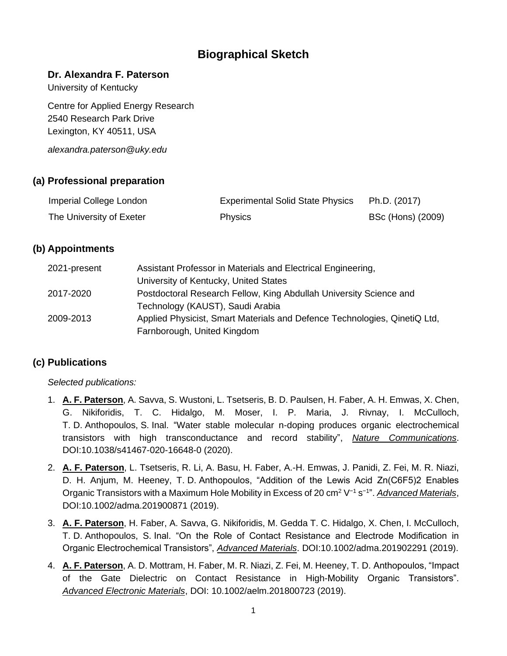# **Biographical Sketch**

#### **Dr. Alexandra F. Paterson**

University of Kentucky

Centre for Applied Energy Research 2540 Research Park Drive Lexington, KY 40511, USA

*alexandra.paterson@uky.edu*

## **(a) Professional preparation**

| Imperial College London  | <b>Experimental Solid State Physics</b> | Ph.D. (2017)      |
|--------------------------|-----------------------------------------|-------------------|
| The University of Exeter | <b>Physics</b>                          | BSc (Hons) (2009) |

## **(b) Appointments**

| 2021-present | Assistant Professor in Materials and Electrical Engineering,              |
|--------------|---------------------------------------------------------------------------|
|              | University of Kentucky, United States                                     |
| 2017-2020    | Postdoctoral Research Fellow, King Abdullah University Science and        |
|              | Technology (KAUST), Saudi Arabia                                          |
| 2009-2013    | Applied Physicist, Smart Materials and Defence Technologies, QinetiQ Ltd, |
|              | Farnborough, United Kingdom                                               |

### **(c) Publications**

*Selected publications:*

- 1. **A. F. Paterson**, A. Savva, S. Wustoni, L. Tsetseris, B. D. Paulsen, H. Faber, A. H. Emwas, X. Chen, G. Nikiforidis, T. C. Hidalgo, M. Moser, I. P. Maria, J. Rivnay, I. McCulloch, T. D. Anthopoulos, S. Inal. "Water stable molecular n-doping produces organic electrochemical transistors with high transconductance and record stability", *Nature Communications*. DOI:10.1038/s41467-020-16648-0 (2020).
- 2. **A. F. Paterson**, L. Tsetseris, R. Li, A. Basu, H. Faber, A.-H. Emwas, J. Panidi, Z. Fei, M. R. Niazi, D. H. Anjum, M. Heeney, T. D. Anthopoulos, "Addition of the Lewis Acid Zn(C6F5)2 Enables Organic Transistors with a Maximum Hole Mobility in Excess of 20 cm<sup>2</sup> V<sup>-1</sup> s<sup>-1</sup>". *Advanced Materials*, DOI:10.1002/adma.201900871 (2019).
- 3. **A. F. Paterson**, H. Faber, A. Savva, G. Nikiforidis, M. Gedda T. C. Hidalgo, X. Chen, I. McCulloch, T. D. Anthopoulos, S. Inal. "On the Role of Contact Resistance and Electrode Modification in Organic Electrochemical Transistors", *Advanced Materials*. DOI:10.1002/adma.201902291 (2019).
- 4. **A. F. Paterson**, A. D. Mottram, H. Faber, M. R. Niazi, Z. Fei, M. Heeney, T. D. Anthopoulos, "Impact of the Gate Dielectric on Contact Resistance in High-Mobility Organic Transistors". *Advanced Electronic Materials*, DOI: 10.1002/aelm.201800723 (2019).